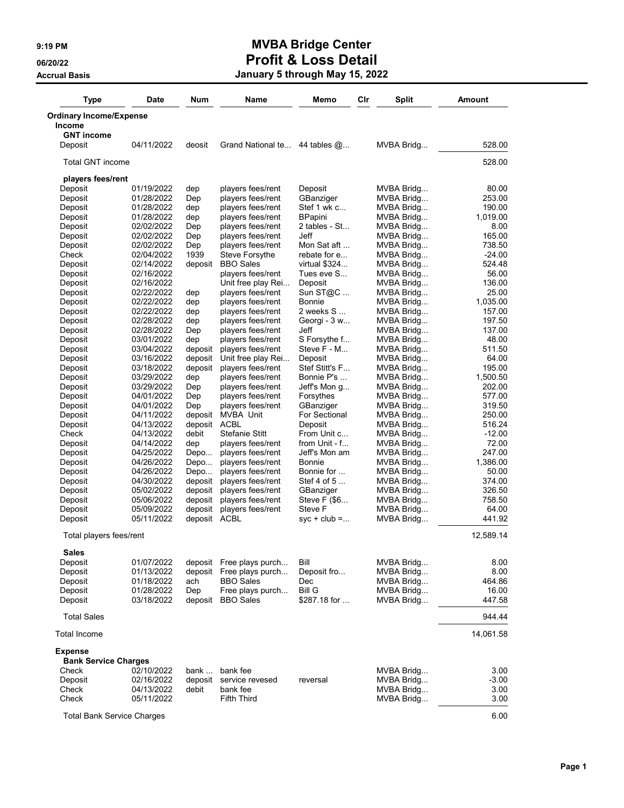| <b>Type</b>                                   | <b>Date</b>              | Num                | Name                                    | Memo                      | Clr | <b>Split</b>             | <b>Amount</b>    |
|-----------------------------------------------|--------------------------|--------------------|-----------------------------------------|---------------------------|-----|--------------------------|------------------|
| <b>Ordinary Income/Expense</b>                |                          |                    |                                         |                           |     |                          |                  |
| <b>Income</b>                                 |                          |                    |                                         |                           |     |                          |                  |
| <b>GNT income</b>                             |                          |                    |                                         |                           |     |                          |                  |
| Deposit                                       | 04/11/2022               | deosit             | Grand National te                       | 44 tables $\omega$        |     | MVBA Bridg               | 528.00           |
| <b>Total GNT income</b>                       |                          |                    |                                         |                           |     |                          | 528.00           |
| players fees/rent                             |                          |                    |                                         |                           |     |                          |                  |
| Deposit                                       | 01/19/2022               | dep                | players fees/rent                       | Deposit                   |     | MVBA Bridg               | 80.00            |
| Deposit                                       | 01/28/2022               | Dep                | players fees/rent                       | GBanziger                 |     | MVBA Bridg               | 253.00           |
| Deposit                                       | 01/28/2022               | dep                | players fees/rent                       | Stef 1 wk c               |     | MVBA Bridg               | 190.00           |
| Deposit                                       | 01/28/2022               | dep                | players fees/rent                       | <b>BPapini</b>            |     | MVBA Bridg               | 1,019.00         |
| Deposit<br>Deposit                            | 02/02/2022<br>02/02/2022 | Dep                | players fees/rent<br>players fees/rent  | 2 tables - St<br>Jeff     |     | MVBA Bridg<br>MVBA Bridg | 8.00<br>165.00   |
| Deposit                                       | 02/02/2022               | Dep<br>Dep         | players fees/rent                       | Mon Sat aft               |     | MVBA Bridg               | 738.50           |
| Check                                         | 02/04/2022               | 1939               | Steve Forsythe                          | rebate for e              |     | MVBA Bridg               | $-24.00$         |
| Deposit                                       | 02/14/2022               | deposit            | <b>BBO</b> Sales                        | virtual \$324             |     | MVBA Bridg               | 524.48           |
| Deposit                                       | 02/16/2022               |                    | players fees/rent                       | Tues eve S                |     | MVBA Bridg               | 56.00            |
| Deposit                                       | 02/16/2022               |                    | Unit free play Rei                      | Deposit                   |     | MVBA Bridg               | 136.00           |
| Deposit                                       | 02/22/2022               | dep                | players fees/rent                       | Sun ST@C                  |     | MVBA Bridg               | 25.00            |
| Deposit                                       | 02/22/2022               | dep                | players fees/rent                       | <b>Bonnie</b>             |     | MVBA Bridg               | 1.035.00         |
| Deposit                                       | 02/22/2022               | dep                | players fees/rent                       | 2 weeks S                 |     | MVBA Bridg               | 157.00           |
| Deposit                                       | 02/28/2022               | dep                | players fees/rent                       | Georgi - 3 w              |     | MVBA Bridg               | 197.50           |
| Deposit                                       | 02/28/2022               | Dep                | players fees/rent                       | Jeff                      |     | MVBA Bridg               | 137.00           |
| Deposit                                       | 03/01/2022               | dep                | players fees/rent                       | S Forsythe f              |     | MVBA Bridg               | 48.00            |
| Deposit                                       | 03/04/2022               | deposit            | players fees/rent                       | Steve F - M               |     | MVBA Bridg               | 511.50<br>64.00  |
| Deposit<br>Deposit                            | 03/16/2022<br>03/18/2022 | deposit<br>deposit | Unit free play Rei<br>players fees/rent | Deposit<br>Stef Stitt's F |     | MVBA Bridg<br>MVBA Bridg | 195.00           |
| Deposit                                       | 03/29/2022               | dep                | players fees/rent                       | Bonnie P's                |     | MVBA Bridg               | 1,500.50         |
| Deposit                                       | 03/29/2022               | Dep                | players fees/rent                       | Jeff's Mon g              |     | MVBA Bridg               | 202.00           |
| Deposit                                       | 04/01/2022               | Dep                | players fees/rent                       | Forsythes                 |     | MVBA Bridg               | 577.00           |
| Deposit                                       | 04/01/2022               | Dep                | players fees/rent                       | GBanziger                 |     | MVBA Bridg               | 319.50           |
| Deposit                                       | 04/11/2022               | deposit            | MVBA Unit                               | For Sectional             |     | MVBA Bridg               | 250.00           |
| Deposit                                       | 04/13/2022               | deposit            | <b>ACBL</b>                             | Deposit                   |     | MVBA Bridg               | 516.24           |
| Check                                         | 04/13/2022               | debit              | <b>Stefanie Stitt</b>                   | From Unit c               |     | MVBA Bridg               | $-12.00$         |
| Deposit                                       | 04/14/2022               | dep                | players fees/rent                       | from Unit - f             |     | MVBA Bridg               | 72.00            |
| Deposit                                       | 04/25/2022               | Depo               | players fees/rent                       | Jeff's Mon am             |     | MVBA Bridg               | 247.00           |
| Deposit                                       | 04/26/2022               | Depo               | players fees/rent                       | <b>Bonnie</b>             |     | MVBA Bridg               | 1,386.00         |
| Deposit                                       | 04/26/2022               | Depo               | players fees/rent                       | Bonnie for                |     | MVBA Bridg               | 50.00            |
| Deposit<br>Deposit                            | 04/30/2022<br>05/02/2022 | deposit<br>deposit | players fees/rent<br>players fees/rent  | Stef 4 of $5$             |     | MVBA Bridg<br>MVBA Bridg | 374.00<br>326.50 |
| Deposit                                       | 05/06/2022               | deposit            | players fees/rent                       | GBanziger<br>Steve F (\$6 |     | MVBA Bridg               | 758.50           |
| Deposit                                       | 05/09/2022               | deposit            | players fees/rent                       | Steve F                   |     | MVBA Bridg               | 64.00            |
| Deposit                                       | 05/11/2022               | deposit            | <b>ACBL</b>                             | $syc + club = $           |     | MVBA Bridg               | 441.92           |
| Total players fees/rent                       |                          |                    |                                         |                           |     |                          | 12,589.14        |
| <b>Sales</b>                                  |                          |                    |                                         |                           |     |                          |                  |
| Deposit                                       | 01/07/2022               |                    | deposit Free plays purch                | Bill                      |     | MVBA Bridg               | 8.00             |
| Deposit                                       | 01/13/2022               | deposit            | Free plays purch                        | Deposit fro               |     | MVBA Bridg               | 8.00             |
| Deposit                                       | 01/18/2022               | ach                | <b>BBO</b> Sales                        | Dec                       |     | MVBA Bridg               | 464.86           |
| Deposit                                       | 01/28/2022               | Dep                | Free plays purch                        | Bill G                    |     | MVBA Bridg               | 16.00            |
| Deposit                                       | 03/18/2022               |                    | deposit BBO Sales                       | \$287.18 for              |     | MVBA Bridg               | 447.58           |
| <b>Total Sales</b>                            |                          |                    |                                         |                           |     |                          | 944.44           |
| <b>Total Income</b>                           |                          |                    |                                         |                           |     |                          | 14,061.58        |
| <b>Expense</b><br><b>Bank Service Charges</b> |                          |                    |                                         |                           |     |                          |                  |
| Check                                         | 02/10/2022               | bank               | bank fee                                |                           |     | MVBA Bridg               | 3.00             |
| Deposit                                       | 02/16/2022               | deposit            | service revesed                         | reversal                  |     | MVBA Bridg               | $-3.00$          |
| Check                                         | 04/13/2022               | debit              | bank fee                                |                           |     | MVBA Bridg               | 3.00             |
| Check                                         | 05/11/2022               |                    | <b>Fifth Third</b>                      |                           |     | MVBA Bridg               | 3.00             |
| <b>Total Bank Service Charges</b>             |                          |                    |                                         |                           |     |                          | 6.00             |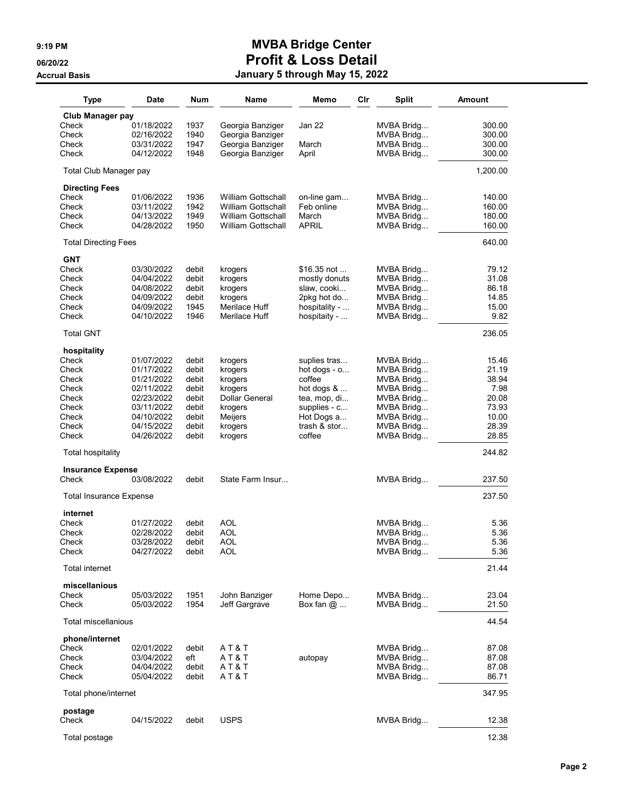| <b>Type</b>                       | Date                     | Num            | Name                      | Memo                   | Cir | <b>Split</b>             | <b>Amount</b>  |
|-----------------------------------|--------------------------|----------------|---------------------------|------------------------|-----|--------------------------|----------------|
| Club Manager pay                  |                          |                |                           |                        |     |                          |                |
| Check                             | 01/18/2022               | 1937           | Georgia Banziger          | Jan 22                 |     | MVBA Bridg               | 300.00         |
| Check                             | 02/16/2022               | 1940           | Georgia Banziger          |                        |     | MVBA Bridg               | 300.00         |
| Check                             | 03/31/2022               | 1947           | Georgia Banziger          | March                  |     | MVBA Bridg               | 300.00         |
| Check                             | 04/12/2022               | 1948           | Georgia Banziger          | April                  |     | MVBA Bridg               | 300.00         |
| Total Club Manager pay            |                          |                |                           |                        |     |                          | 1,200.00       |
| <b>Directing Fees</b><br>Check    | 01/06/2022               | 1936           | <b>William Gottschall</b> | on-line gam            |     | MVBA Bridg               | 140.00         |
| Check                             | 03/11/2022               | 1942           | <b>William Gottschall</b> | Feb online             |     | MVBA Bridg               | 160.00         |
| Check                             | 04/13/2022               | 1949           | <b>William Gottschall</b> | March                  |     | MVBA Bridg               | 180.00         |
| Check                             | 04/28/2022               | 1950           | William Gottschall        | APRIL                  |     | MVBA Bridg               | 160.00         |
| <b>Total Directing Fees</b>       |                          |                |                           |                        |     |                          | 640.00         |
| <b>GNT</b>                        |                          |                |                           |                        |     |                          |                |
| Check                             | 03/30/2022               | debit          | krogers                   | \$16.35 not            |     | MVBA Bridg               | 79.12          |
| Check                             | 04/04/2022               | debit          | krogers                   | mostly donuts          |     | MVBA Bridg               | 31.08          |
| Check                             | 04/08/2022               | debit          | krogers                   | slaw, cooki            |     | MVBA Bridg               | 86.18          |
| Check                             | 04/09/2022               | debit          | krogers                   | 2pkg hot do            |     | MVBA Bridg               | 14.85          |
| Check<br>Check                    | 04/09/2022               | 1945           | Merilace Huff             | hospitality -          |     | MVBA Bridg               | 15.00          |
|                                   | 04/10/2022               | 1946           | Merilace Huff             | hospitaity -           |     | MVBA Bridg               | 9.82           |
| <b>Total GNT</b>                  |                          |                |                           |                        |     |                          | 236.05         |
| hospitality                       |                          |                |                           |                        |     |                          |                |
| Check<br>Check                    | 01/07/2022               | debit          | krogers                   | suplies tras           |     | MVBA Bridg               | 15.46<br>21.19 |
| Check                             | 01/17/2022<br>01/21/2022 | debit<br>debit | krogers                   | hot dogs - o<br>coffee |     | MVBA Bridg<br>MVBA Bridg | 38.94          |
| Check                             | 02/11/2022               | debit          | krogers<br>krogers        | hot dogs $\&\ldots$    |     | MVBA Bridg               | 7.98           |
| Check                             | 02/23/2022               | debit          | Dollar General            | tea, mop, di           |     | MVBA Bridg               | 20.08          |
| Check                             | 03/11/2022               | debit          | krogers                   | supplies - c           |     | MVBA Bridg               | 73.93          |
| Check                             | 04/10/2022               | debit          | Meijers                   | Hot Dogs a             |     | MVBA Bridg               | 10.00          |
| Check                             | 04/15/2022               | debit          | krogers                   | trash & stor           |     | MVBA Bridg               | 28.39          |
| Check                             | 04/26/2022               | debit          | krogers                   | coffee                 |     | MVBA Bridg               | 28.85          |
| <b>Total hospitality</b>          |                          |                |                           |                        |     |                          | 244.82         |
| <b>Insurance Expense</b><br>Check |                          | debit          | State Farm Insur          |                        |     |                          | 237.50         |
|                                   | 03/08/2022               |                |                           |                        |     | MVBA Bridg               |                |
| <b>Total Insurance Expense</b>    |                          |                |                           |                        |     |                          | 237.50         |
| internet                          |                          |                |                           |                        |     |                          |                |
| Check                             | 01/27/2022               | debit          | AOL                       |                        |     | MVBA Bridg               | 5.36           |
| Check<br>Check                    | 02/28/2022<br>03/28/2022 | debit<br>debit | AOL<br>AOL                |                        |     | MVBA Bridg<br>MVBA Bridg | 5.36<br>5.36   |
| Check                             | 04/27/2022               | debit          | <b>AOL</b>                |                        |     | MVBA Bridg               | 5.36           |
| Total internet                    |                          |                |                           |                        |     |                          | 21.44          |
| miscellanious                     |                          |                |                           |                        |     |                          |                |
| Check                             | 05/03/2022               | 1951           | John Banziger             | Home Depo              |     | MVBA Bridg               | 23.04          |
| Check                             | 05/03/2022               | 1954           | Jeff Gargrave             | Box fan $@$            |     | MVBA Bridg               | 21.50          |
| Total miscellanious               |                          |                |                           |                        |     |                          | 44.54          |
| phone/internet                    |                          |                |                           |                        |     |                          |                |
| Check                             | 02/01/2022               | debit          | AT&T                      |                        |     | MVBA Bridg               | 87.08          |
| Check                             | 03/04/2022               | eft            | AT&T                      | autopay                |     | MVBA Bridg               | 87.08          |
| Check                             | 04/04/2022               | debit          | AT&T                      |                        |     | MVBA Bridg               | 87.08          |
| Check                             | 05/04/2022               | debit          | A T & T                   |                        |     | MVBA Bridg               | 86.71          |
| Total phone/internet              |                          |                |                           |                        |     |                          | 347.95         |
| postage<br>Check                  | 04/15/2022               | debit          | <b>USPS</b>               |                        |     | MVBA Bridg               | 12.38          |
| Total postage                     |                          |                |                           |                        |     |                          | 12.38          |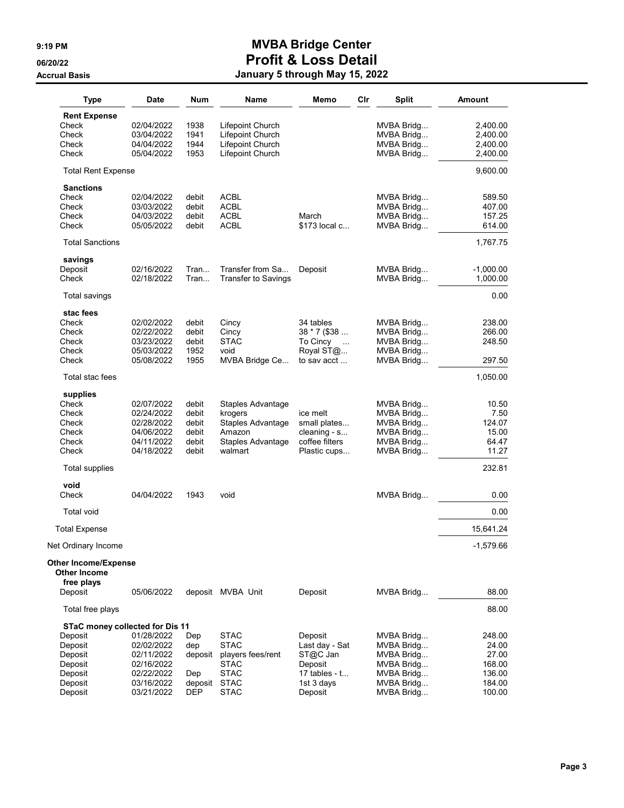| <b>Type</b>                                 | Date                     | Num            | Name                        | Memo                            | Cir | <b>Split</b>             | <b>Amount</b>    |
|---------------------------------------------|--------------------------|----------------|-----------------------------|---------------------------------|-----|--------------------------|------------------|
| <b>Rent Expense</b>                         |                          |                |                             |                                 |     |                          |                  |
| Check                                       | 02/04/2022               | 1938           | Lifepoint Church            |                                 |     | MVBA Bridg               | 2,400.00         |
| Check                                       | 03/04/2022               | 1941           | Lifepoint Church            |                                 |     | MVBA Bridg               | 2,400.00         |
| Check                                       | 04/04/2022               | 1944           | Lifepoint Church            |                                 |     | MVBA Bridg               | 2,400.00         |
| Check                                       | 05/04/2022               | 1953           | Lifepoint Church            |                                 |     | MVBA Bridg               | 2,400.00         |
| <b>Total Rent Expense</b>                   |                          |                |                             |                                 |     |                          | 9,600.00         |
| <b>Sanctions</b><br>Check                   | 02/04/2022               | debit          | <b>ACBL</b>                 |                                 |     | MVBA Bridg               | 589.50           |
| Check                                       | 03/03/2022               | debit          | <b>ACBL</b>                 |                                 |     | MVBA Bridg               | 407.00           |
| Check                                       | 04/03/2022               | debit          | <b>ACBL</b>                 | March                           |     | MVBA Bridg               | 157.25           |
| Check                                       | 05/05/2022               | debit          | <b>ACBL</b>                 | \$173 local c                   |     | MVBA Bridg               | 614.00           |
| <b>Total Sanctions</b>                      |                          |                |                             |                                 |     |                          | 1,767.75         |
| savings                                     |                          |                |                             |                                 |     |                          |                  |
| Deposit                                     | 02/16/2022               | Tran           | Transfer from Sa            | Deposit                         |     | MVBA Bridg               | $-1,000.00$      |
| Check                                       | 02/18/2022               | Tran           | Transfer to Savings         |                                 |     | MVBA Bridg               | 1,000.00         |
| Total savings                               |                          |                |                             |                                 |     |                          | 0.00             |
| stac fees                                   |                          |                |                             |                                 |     |                          |                  |
| Check                                       | 02/02/2022               | debit          | Cincy                       | 34 tables                       |     | MVBA Bridg               | 238.00           |
| Check<br>Check                              | 02/22/2022<br>03/23/2022 | debit<br>debit | Cincy<br><b>STAC</b>        | 38 * 7 (\$38                    |     | MVBA Bridg               | 266.00<br>248.50 |
| Check                                       | 05/03/2022               | 1952           | void                        | To Cincy<br>$\sim$<br>Royal ST@ |     | MVBA Bridg<br>MVBA Bridg |                  |
| Check                                       | 05/08/2022               | 1955           | MVBA Bridge Ce              | to sav acct                     |     | MVBA Bridg               | 297.50           |
| Total stac fees                             |                          |                |                             |                                 |     |                          | 1,050.00         |
| supplies                                    |                          |                |                             |                                 |     |                          |                  |
| Check                                       | 02/07/2022               | debit          | Staples Advantage           |                                 |     | MVBA Bridg               | 10.50            |
| Check                                       | 02/24/2022               | debit          | krogers                     | ice melt                        |     | MVBA Bridg               | 7.50             |
| Check<br>Check                              | 02/28/2022<br>04/06/2022 | debit<br>debit | Staples Advantage<br>Amazon | small plates<br>cleaning - s    |     | MVBA Bridg               | 124.07<br>15.00  |
| Check                                       | 04/11/2022               | debit          | Staples Advantage           | coffee filters                  |     | MVBA Bridg<br>MVBA Bridg | 64.47            |
| Check                                       | 04/18/2022               | debit          | walmart                     | Plastic cups                    |     | MVBA Bridg               | 11.27            |
| <b>Total supplies</b>                       |                          |                |                             |                                 |     |                          | 232.81           |
| void<br>Check                               | 04/04/2022               | 1943           | void                        |                                 |     | MVBA Bridg               |                  |
|                                             |                          |                |                             |                                 |     |                          | 0.00             |
| <b>Total void</b>                           |                          |                |                             |                                 |     |                          | 0.00             |
| <b>Total Expense</b>                        |                          |                |                             |                                 |     |                          | 15,641.24        |
| Net Ordinary Income                         |                          |                |                             |                                 |     |                          | $-1,579.66$      |
| Other Income/Expense<br><b>Other Income</b> |                          |                |                             |                                 |     |                          |                  |
| free plays<br>Deposit                       | 05/06/2022               |                | deposit MVBA Unit           | Deposit                         |     | MVBA Bridg               | 88.00            |
| Total free plays                            |                          |                |                             |                                 |     |                          | 88.00            |
| STaC money collected for Dis 11             |                          |                |                             |                                 |     |                          |                  |
| Deposit                                     | 01/28/2022               | Dep            | <b>STAC</b>                 | Deposit                         |     | MVBA Bridg               | 248.00           |
| Deposit                                     | 02/02/2022               | dep            | <b>STAC</b>                 | Last day - Sat                  |     | MVBA Bridg               | 24.00            |
| Deposit                                     | 02/11/2022               | deposit        | players fees/rent           | ST@C Jan                        |     | MVBA Bridg               | 27.00            |
| Deposit                                     | 02/16/2022               |                | <b>STAC</b>                 | Deposit                         |     | MVBA Bridg               | 168.00           |
| Deposit                                     | 02/22/2022               | Dep            | <b>STAC</b>                 | 17 tables - $t$                 |     | MVBA Bridg               | 136.00           |
| Deposit                                     | 03/16/2022               | deposit STAC   |                             | 1st 3 days                      |     | MVBA Bridg               | 184.00           |
| Deposit                                     | 03/21/2022               | <b>DEP</b>     | <b>STAC</b>                 | Deposit                         |     | MVBA Bridg               | 100.00           |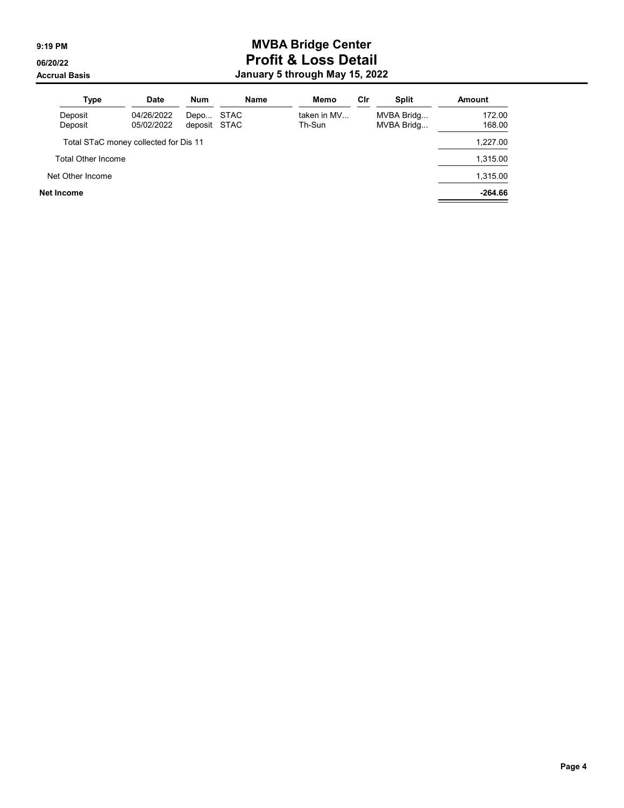| <b>Type</b>                           | <b>Date</b>              | <b>Num</b>           | Name        | Memo                  | Cir | <b>Split</b>             | Amount           |
|---------------------------------------|--------------------------|----------------------|-------------|-----------------------|-----|--------------------------|------------------|
| Deposit<br>Deposit                    | 04/26/2022<br>05/02/2022 | Depo<br>deposit STAC | <b>STAC</b> | taken in MV<br>Th-Sun |     | MVBA Bridg<br>MVBA Bridg | 172.00<br>168.00 |
| Total STaC money collected for Dis 11 |                          |                      |             |                       |     |                          | 1,227.00         |
| <b>Total Other Income</b>             |                          |                      |             |                       |     |                          | 1,315.00         |
| Net Other Income                      |                          |                      |             |                       |     |                          | 1,315.00         |
| Net Income                            |                          |                      |             |                       |     |                          | $-264.66$        |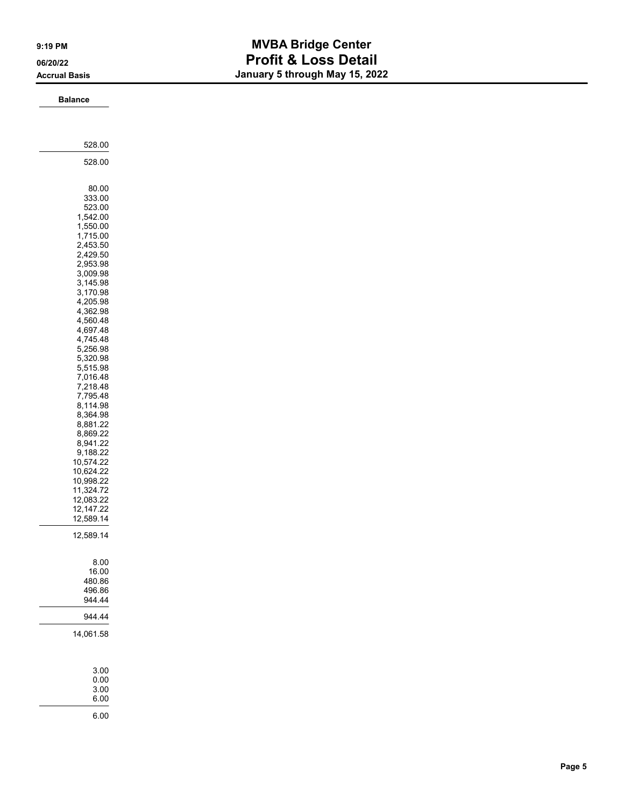### Balance

| 528.00                                                                                                                                                                                                                                                                                                                                                                                                                                                            |
|-------------------------------------------------------------------------------------------------------------------------------------------------------------------------------------------------------------------------------------------------------------------------------------------------------------------------------------------------------------------------------------------------------------------------------------------------------------------|
| 528.00                                                                                                                                                                                                                                                                                                                                                                                                                                                            |
| 80.00<br>333.00<br>523.00<br>,542.00<br>1<br>1,550.00<br>1,715.00<br>2,453.50<br>2,429.50<br>2,953.98<br>3,009.98<br>3,145.98<br>3,170.98<br>4,205.98<br>4,362.98<br>4,560.48<br>4,697.48<br>4,745.48<br>5,256.98<br>5,320.98<br>5,515.98<br>7,016.48<br>.218.48<br>7<br>7,795.48<br>8,114.98<br>8,364.98<br>8,881.22<br>8,869.22<br>8,941.22<br>9,188.22<br>10,574.22<br>10,624.22<br>10,998.22<br>11,324.72<br>12,083.22<br>12,147.22<br>12,589.14<br>12,589.14 |
| 8.00<br>16.00<br>480.86<br>496.86<br>944.44                                                                                                                                                                                                                                                                                                                                                                                                                       |
| 944.44                                                                                                                                                                                                                                                                                                                                                                                                                                                            |
| 14,061.58                                                                                                                                                                                                                                                                                                                                                                                                                                                         |
|                                                                                                                                                                                                                                                                                                                                                                                                                                                                   |
| 3.00<br>0.00<br>3.00<br>6.00                                                                                                                                                                                                                                                                                                                                                                                                                                      |
| 6.00                                                                                                                                                                                                                                                                                                                                                                                                                                                              |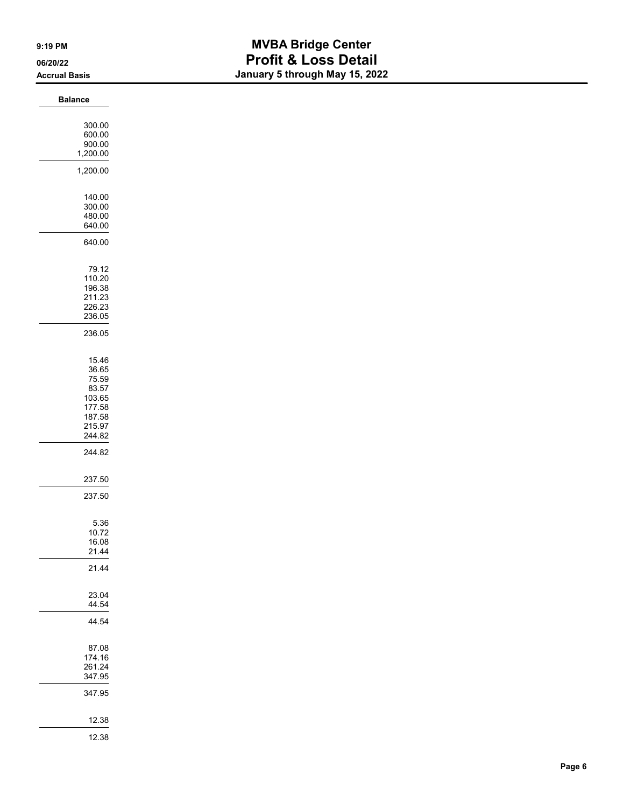| <b>Balance</b>   |  |
|------------------|--|
| 300.00           |  |
| 600.00           |  |
| 900.00           |  |
| 1,200.00         |  |
|                  |  |
| 1,200.00         |  |
| 140.00           |  |
| 300.00           |  |
| 480.00           |  |
| 640.00           |  |
|                  |  |
| 640.00           |  |
| 79.12            |  |
| 110.20           |  |
| 196.38           |  |
| 211.23           |  |
| 226.23           |  |
| 236.05           |  |
| 236.05           |  |
|                  |  |
| 15.46            |  |
| 36.65            |  |
| 75.59            |  |
| 83.57            |  |
| 103.65           |  |
| 177.58<br>187.58 |  |
| 215.97           |  |
| 244.82           |  |
| 244.82           |  |
|                  |  |
| 237.50           |  |
| 237.50           |  |
|                  |  |
| 5.36             |  |
| 10.72            |  |
| 16.08<br>21.44   |  |
|                  |  |
| 21.44            |  |
| 23.04            |  |
| 44.54            |  |
| 44.54            |  |
|                  |  |
| 87.08<br>174.16  |  |
| 261.24           |  |
| 347.95           |  |
| 347.95           |  |
|                  |  |
| 12.38            |  |
| 12.38            |  |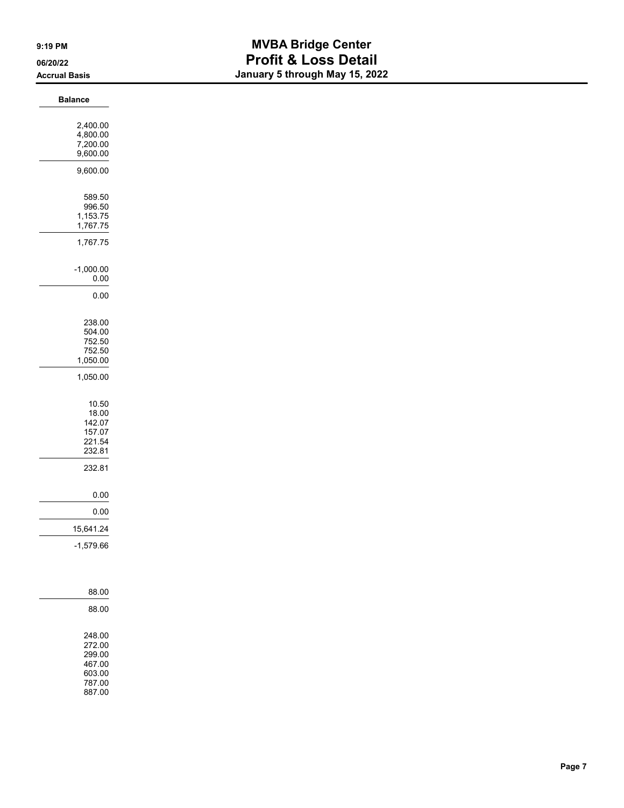| <b>Balance</b>       |
|----------------------|
| 2,400.00             |
| 4,800.00             |
| 7,200.00<br>9,600.00 |
|                      |
| 9,600.00             |
| 589.50               |
| 996.50               |
| 1,153.75<br>1,767.75 |
| 1,767.75             |
| $-1,000.00$          |
| $0.00\,$             |
| 0.00                 |
|                      |
| 238.00<br>504.00     |
| 752.50               |
| 752.50<br>1,050.00   |
|                      |
| 1,050.00             |
| 10.50                |
| 18.00<br>142.07      |
| 157.07               |
| 221.54<br>232.81     |
|                      |
| 232.81               |
| $0.00\,$             |
| $0.00\,$             |
| 15,641.24            |
| $-1,579.66$          |
|                      |
|                      |
|                      |
| 88.00                |
| 88.00                |
| 248.00               |
| 272.00               |
| 299.00<br>467.00     |
| 603.00<br>787.00     |